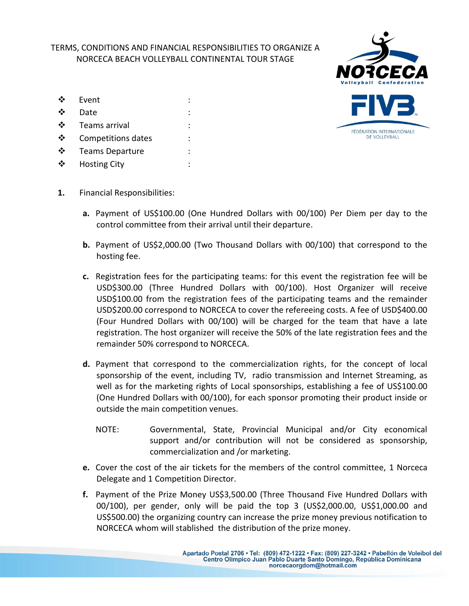## TERMS, CONDITIONS AND FINANCIAL RESPONSIBILITIES TO ORGANIZE A NORCECA BEACH VOLLEYBALL CONTINENTAL TOUR STAGE

❖ Event Date :  $\div$  Teams arrival ❖ Competitions dates **❖** Teams Departure : ❖ Hosting City



- **1.** Financial Responsibilities:
	- **a.** Payment of US\$100.00 (One Hundred Dollars with 00/100) Per Diem per day to the control committee from their arrival until their departure.
	- **b.** Payment of US\$2,000.00 (Two Thousand Dollars with 00/100) that correspond to the hosting fee.
	- **c.** Registration fees for the participating teams: for this event the registration fee will be USD\$300.00 (Three Hundred Dollars with 00/100). Host Organizer will receive USD\$100.00 from the registration fees of the participating teams and the remainder USD\$200.00 correspond to NORCECA to cover the refereeing costs. A fee of USD\$400.00 (Four Hundred Dollars with 00/100) will be charged for the team that have a late registration. The host organizer will receive the 50% of the late registration fees and the remainder 50% correspond to NORCECA.
	- **d.** Payment that correspond to the commercialization rights, for the concept of local sponsorship of the event, including TV, radio transmission and Internet Streaming, as well as for the marketing rights of Local sponsorships, establishing a fee of US\$100.00 (One Hundred Dollars with 00/100), for each sponsor promoting their product inside or outside the main competition venues.
		- NOTE: Governmental, State, Provincial Municipal and/or City economical support and/or contribution will not be considered as sponsorship, commercialization and /or marketing.
	- **e.** Cover the cost of the air tickets for the members of the control committee, 1 Norceca Delegate and 1 Competition Director.
	- **f.** Payment of the Prize Money US\$3,500.00 (Three Thousand Five Hundred Dollars with 00/100), per gender, only will be paid the top 3 (US\$2,000.00, US\$1,000.00 and US\$500.00) the organizing country can increase the prize money previous notification to NORCECA whom will stablished the distribution of the prize money.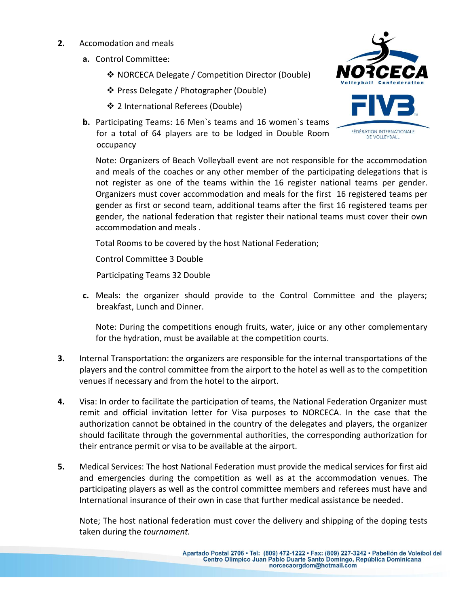- **2.** Accomodation and meals
	- **a.** Control Committee:
		- **❖ NORCECA Delegate / Competition Director (Double)**
		- Press Delegate / Photographer (Double)
		- 2 International Referees (Double)
	- **b.** Participating Teams: 16 Men`s teams and 16 women`s teams for a total of 64 players are to be lodged in Double Room occupancy



Note: Organizers of Beach Volleyball event are not responsible for the accommodation and meals of the coaches or any other member of the participating delegations that is not register as one of the teams within the 16 register national teams per gender. Organizers must cover accommodation and meals for the first 16 registered teams per gender as first or second team, additional teams after the first 16 registered teams per gender, the national federation that register their national teams must cover their own accommodation and meals .

Total Rooms to be covered by the host National Federation;

Control Committee 3 Double

Participating Teams 32 Double

**c.** Meals: the organizer should provide to the Control Committee and the players; breakfast, Lunch and Dinner.

Note: During the competitions enough fruits, water, juice or any other complementary for the hydration, must be available at the competition courts.

- **3.** Internal Transportation: the organizers are responsible for the internal transportations of the players and the control committee from the airport to the hotel as well as to the competition venues if necessary and from the hotel to the airport.
- **4.** Visa: In order to facilitate the participation of teams, the National Federation Organizer must remit and official invitation letter for Visa purposes to NORCECA. In the case that the authorization cannot be obtained in the country of the delegates and players, the organizer should facilitate through the governmental authorities, the corresponding authorization for their entrance permit or visa to be available at the airport.
- **5.** Medical Services: The host National Federation must provide the medical services for first aid and emergencies during the competition as well as at the accommodation venues. The participating players as well as the control committee members and referees must have and International insurance of their own in case that further medical assistance be needed.

Note; The host national federation must cover the delivery and shipping of the doping tests taken during the *tournament.*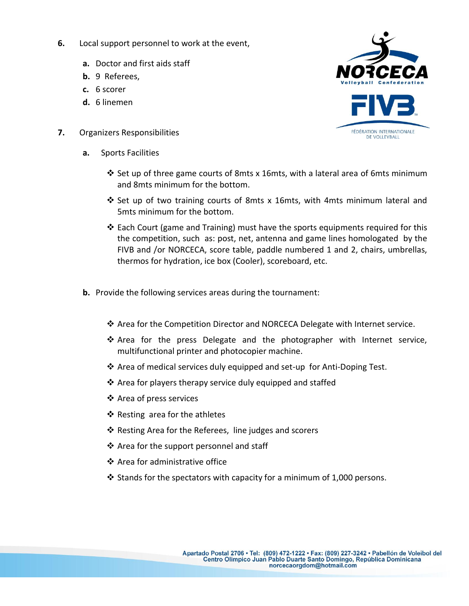- **6.** Local support personnel to work at the event,
	- **a.** Doctor and first aids staff
	- **b.** 9 Referees,
	- **c.** 6 scorer
	- **d.** 6 linemen
- **7.** Organizers Responsibilities
	- **a.** Sports Facilities
		- $\clubsuit$  Set up of three game courts of 8mts x 16mts, with a lateral area of 6mts minimum and 8mts minimum for the bottom.
		- $\div$  Set up of two training courts of 8mts x 16mts, with 4mts minimum lateral and 5mts minimum for the bottom.
		- ❖ Each Court (game and Training) must have the sports equipments required for this the competition, such as: post, net, antenna and game lines homologated by the FIVB and /or NORCECA, score table, paddle numbered 1 and 2, chairs, umbrellas, thermos for hydration, ice box (Cooler), scoreboard, etc.
	- **b.** Provide the following services areas during the tournament:
		- Area for the Competition Director and NORCECA Delegate with Internet service.
		- \* Area for the press Delegate and the photographer with Internet service, multifunctional printer and photocopier machine.
		- ❖ Area of medical services duly equipped and set-up for Anti-Doping Test.
		- $\triangle$  Area for players therapy service duly equipped and staffed
		- ❖ Area of press services
		- $\triangle$  Resting area for the athletes
		- ❖ Resting Area for the Referees, line judges and scorers
		- ❖ Area for the support personnel and staff
		- Area for administrative office
		- $\cdot$  Stands for the spectators with capacity for a minimum of 1,000 persons.